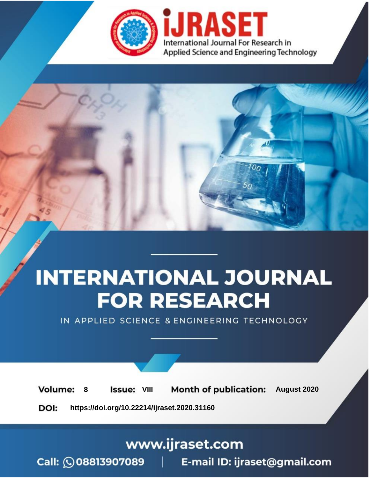

# **INTERNATIONAL JOURNAL FOR RESEARCH**

IN APPLIED SCIENCE & ENGINEERING TECHNOLOGY

**Month of publication: Volume: Issue: VIII** August 2020 8 DOI: https://doi.org/10.22214/ijraset.2020.31160

www.ijraset.com

 $Call: \bigcirc$ 08813907089 E-mail ID: ijraset@gmail.com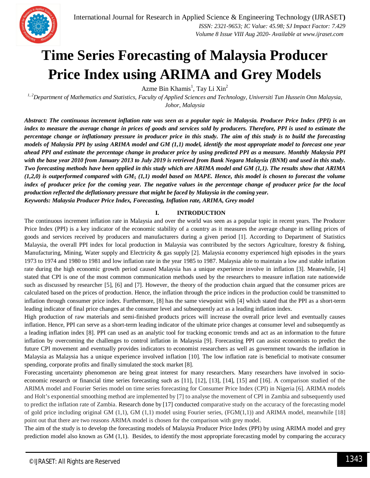

 *Volume 8 Issue VIII Aug 2020- Available at www.ijraset.com*

### **Time Series Forecasting of Malaysia Producer Price Index using ARIMA and Grey Models**

Azme Bin Khamis<sup>1</sup>, Tay Li Xin<sup>2</sup>

*1, 2Department of Mathematics and Statistics, Faculty of Applied Sciences and Technology, Universiti Tun Hussein Onn Malaysia, Johor, Malaysia*

*Abstract: The continuous increment inflation rate was seen as a popular topic in Malaysia. Producer Price Index (PPI) is an index to measure the average change in prices of goods and services sold by producers. Therefore, PPI is used to estimate the percentage change or inflationary pressure in producer price in this study. The aim of this study is to build the forecasting models of Malaysia PPI by using ARIMA model and GM (1,1) model, identify the most appropriate model to forecast one year ahead PPI and estimate the percentage change in producer price by using predicted PPI as a measure. Monthly Malaysia PPI with the base year 2010 from January 2013 to July 2019 is retrieved from Bank Negara Malaysia (BNM) and used in this study. Two forecasting methods have been applied in this study which are ARIMA model and GM (1,1). The results show that ARIMA (1,2,0) is outperformed compared with GM<sup>5</sup> (1,1) model based on MAPE. Hence, this model is chosen to forecast the volume index of producer price for the coming year. The negative values in the percentage change of producer price for the local production reflected the deflationary pressure that might be faced by Malaysia in the coming year. Keywords: Malaysia Producer Price Index, Forecasting, Inflation rate, ARIMA, Grey model*

#### **I. INTRODUCTION**

The continuous increment inflation rate in Malaysia and over the world was seen as a popular topic in recent years. The Producer Price Index (PPI) is a key indicator of the economic stability of a country as it measures the average change in selling prices of goods and services received by producers and manufacturers during a given period [1]. According to Department of Statistics Malaysia, the overall PPI index for local production in Malaysia was contributed by the sectors Agriculture, forestry & fishing, Manufacturing, Mining, Water supply and Electricity & gas supply [2]. Malaysia economy experienced high episodes in the years 1973 to 1974 and 1980 to 1981 and low inflation rate in the year 1985 to 1987. Malaysia able to maintain a low and stable inflation rate during the high economic growth period caused Malaysia has a unique experience involve in inflation [3]. Meanwhile, [4] stated that CPI is one of the most common communication methods used by the researchers to measure inflation rate nationwide such as discussed by researcher [5], [6] and [7]. However, the theory of the production chain argued that the consumer prices are calculated based on the prices of production. Hence, the inflation through the price indices in the production could be transmitted to inflation through consumer price index. Furthermore, [8] has the same viewpoint with [4] which stated that the PPI as a short-term leading indicator of final price changes at the consumer level and subsequently act as a leading inflation index.

High production of raw materials and semi-finished products prices will increase the overall price level and eventually causes inflation. Hence, PPI can serve as a short-term leading indicator of the ultimate price changes at consumer level and subsequently as a leading inflation index [8]. PPI can used as an analytic tool for tracking economic trends and act as an information to the future inflation by overcoming the challenges to control inflation in Malaysia [9]. Forecasting PPI can assist economists to predict the future CPI movement and eventually provides indicators to economist researchers as well as government towards the inflation in Malaysia as Malaysia has a unique experience involved inflation [10]. The low inflation rate is beneficial to motivate consumer spending, corporate profits and finally simulated the stock market [8].

Forecasting uncertainty phenomenon are being great interest for many researchers. Many researchers have involved in socioeconomic research or financial time series forecasting such as [11], [12], [13], [14], [15] and [16]. A comparison studied of the ARIMA model and Fourier Series model on time series forecasting for Consumer Price Index (CPI) in Nigeria [6]. ARIMA models and Holt's exponential smoothing method are implemented by [7] to analyse the movement of CPI in Zambia and subsequently used to predict the inflation rate of Zambia. Research done by [17] conducted comparative study on the accuracy of the forecasting model of gold price including original GM  $(1,1)$ , GM  $(1,1)$  model using Fourier series,  $(FGM(1,1))$  and ARIMA model, meanwhile [18] point out that there are two reasons ARIMA model is chosen for the comparison with grey model.

The aim of the study is to develop the forecasting models of Malaysia Producer Price Index (PPI) by using ARIMA model and grey prediction model also known as GM (1,1). Besides, to identify the most appropriate forecasting model by comparing the accuracy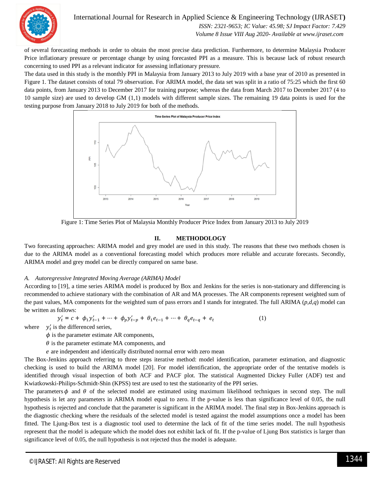

International Journal for Research in Applied Science & Engineering Technology (IJRASET**)**

 *ISSN: 2321-9653; IC Value: 45.98; SJ Impact Factor: 7.429 Volume 8 Issue VIII Aug 2020- Available at www.ijraset.com*

of several forecasting methods in order to obtain the most precise data prediction. Furthermore, to determine Malaysia Producer Price inflationary pressure or percentage change by using forecasted PPI as a measure. This is because lack of robust research concerning to used PPI as a relevant indicator for assessing inflationary pressure.

The data used in this study is the monthly PPI in Malaysia from January 2013 to July 2019 with a base year of 2010 as presented in Figure 1. The dataset consists of total 79 observation. For ARIMA model, the data set was split in a ratio of 75:25 which the first 60 data points, from January 2013 to December 2017 for training purpose; whereas the data from March 2017 to December 2017 (4 to 10 sample size) are used to develop GM (1,1) models with different sample sizes. The remaining 19 data points is used for the testing purpose from January 2018 to July 2019 for both of the methods.



Figure 1: Time Series Plot of Malaysia Monthly Producer Price Index from January 2013 to July 2019

#### **II. METHODOLOGY**

Two forecasting approaches: ARIMA model and grey model are used in this study. The reasons that these two methods chosen is due to the ARIMA model as a conventional forecasting model which produces more reliable and accurate forecasts. Secondly, ARIMA model and grey model can be directly compared on same base.

#### *A. Autoregressive Integrated Moving Average (ARIMA) Model*

According to [19], a time series ARIMA model is produced by Box and Jenkins for the series is non-stationary and differencing is recommended to achieve stationary with the combination of AR and MA processes. The AR components represent weighted sum of the past values, MA components for the weighted sum of pass errors and I stands for integrated. The full ARIMA (*p,d,q*) model can be written as follows:

$$
y'_{t} = c + \phi_{1} y'_{t-1} + \dots + \phi_{p} y'_{t-p} + \theta_{1} e_{t-1} + \dots + \theta_{q} e_{t-q} + e_{t}
$$
 (1)

where  $y'_t$  is the differenced series,

 $\phi$  is the parameter estimate AR components,

 $\theta$  is the parameter estimate MA components, and

݁ are independent and identically distributed normal error with zero mean

The Box-Jenkins approach referring to three steps iterative method: model identification, parameter estimation, and diagnostic checking is used to build the ARIMA model [20]. For model identification, the appropriate order of the tentative models is identified through visual inspection of both ACF and PACF plot. The statistical Augmented Dickey Fuller (ADF) test and Kwiatkowski-Philips-Schmidt-Shin (KPSS) test are used to test the stationarity of the PPI series.

The parameters  $\phi$  and  $\theta$  of the selected model are estimated using maximum likelihood techniques in second step. The null hypothesis is let any parameters in ARIMA model equal to zero. If the p-value is less than significance level of 0.05, the null hypothesis is rejected and conclude that the parameter is significant in the ARIMA model. The final step in Box-Jenkins approach is the diagnostic checking where the residuals of the selected model is tested against the model assumptions once a model has been fitted. The Ljung-Box test is a diagnostic tool used to determine the lack of fit of the time series model. The null hypothesis represent that the model is adequate which the model does not exhibit lack of fit. If the p-value of Ljung Box statistics is larger than significance level of 0.05, the null hypothesis is not rejected thus the model is adequate.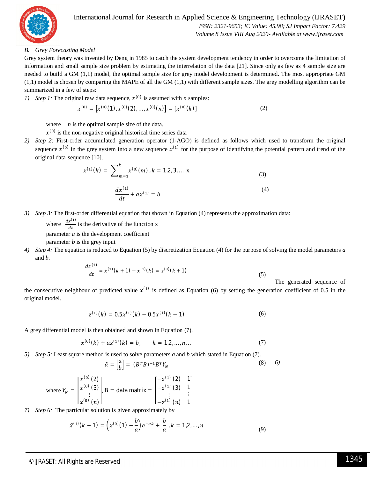

#### International Journal for Research in Applied Science & Engineering Technology (IJRASET**)**  *ISSN: 2321-9653; IC Value: 45.98; SJ Impact Factor: 7.429 Volume 8 Issue VIII Aug 2020- Available at www.ijraset.com*

#### *B. Grey Forecasting Model*

Grey system theory was invented by Deng in 1985 to catch the system development tendency in order to overcome the limitation of information and small sample size problem by estimating the interrelation of the data [21]. Since only as few as 4 sample size are needed to build a GM (1,1) model, the optimal sample size for grey model development is determined. The most appropriate GM (1,1) model is chosen by comparing the MAPE of all the GM (1,1) with different sample sizes. The grey modelling algorithm can be summarized in a few of steps:

*1*) *Step 1*: The original raw data sequence,  $x^{(0)}$  is assumed with *n* samples:

$$
\chi^{(0)} = \left[ \chi^{(0)}(1), \chi^{(0)}(2), \ldots, \chi^{(0)}(n) \right] = \left[ \chi^{(0)}(k) \right] \tag{2}
$$

where *n* is the optimal sample size of the data.

- $x^{(0)}$  is the non-negative original historical time series data
- *2) Step 2:* First-order accumulated generation operator (1-AGO) is defined as follows which used to transform the original sequence  $x^{(0)}$  in the grey system into a new sequence  $x^{(1)}$  for the purpose of identifying the potential pattern and trend of the original data sequence [10].

$$
x^{(1)}(k) = \sum_{m=1}^{k} x^{(0)}(m), k = 1, 2, 3, ..., n
$$
\n(3)

$$
\frac{dx^{(1)}}{dt} + ax^{(1)} = b \tag{4}
$$

*3*) *Step 3:* The first-order differential equation that shown in Equation (4) represents the approximation data: where  $\frac{dx^{(1)}}{dt}$  $\frac{d}{dt}$  is the derivative of the function x parameter *a* is the development coefficient

parameter *b* is the grey input

*4) Step 4:* The equation is reduced to Equation (5) by discretization Equation (4) for the purpose of solving the model parameters *a* and *b.*

$$
\frac{dx^{(1)}}{dt} = x^{(1)}(k+1) - x^{(1)}(k) = x^{(0)}(k+1)
$$
\n(5)

The generated sequence of

the consecutive neighbour of predicted value  $x^{(1)}$  is defined as Equation (6) by setting the generation coefficient of 0.5 in the original model.

$$
z^{(1)}(k) = 0.5x^{(1)}(k) - 0.5x^{(1)}(k-1)
$$
\n(6)

A grey differential model is then obtained and shown in Equation (7).

$$
x^{(0)}(k) + az^{(1)}(k) = b, \qquad k = 1, 2, ..., n, ... \tag{7}
$$

*5) Step 5:* Least square method is used to solve parameters *a* and *b* which stated in Equation (7).

$$
\hat{a} = \begin{bmatrix} a \\ b \end{bmatrix} = (B^T B)^{-1} B^T Y_N \tag{8}
$$

where 
$$
Y_N = \begin{bmatrix} x^{(0)} (2) \\ x^{(0)} (3) \\ \vdots \\ x^{(0)} (n) \end{bmatrix}
$$
,  $B = \text{data matrix} = \begin{bmatrix} -z^{(1)} (2) & 1 \\ -z^{(1)} (3) & 1 \\ \vdots & \vdots \\ -z^{(1)} (n) & 1 \end{bmatrix}$ 

*7) Step 6:* The particular solution is given approximately by

$$
\hat{x}^{(1)}(k+1) = \left(x^{(0)}(1) - \frac{b}{a}\right)e^{-ak} + \frac{b}{a}, k = 1, 2, ..., n
$$
\n(9)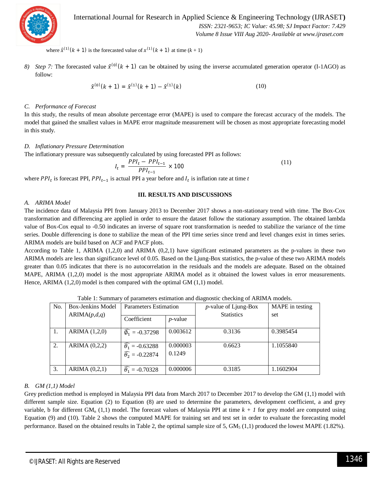

International Journal for Research in Applied Science & Engineering Technology (IJRASET**)**  *ISSN: 2321-9653; IC Value: 45.98; SJ Impact Factor: 7.429 Volume 8 Issue VIII Aug 2020- Available at www.ijraset.com*

where  $\hat{x}^{(1)}(k + 1)$  is the forecasted value of  $x^{(1)}(k + 1)$  at time  $(k + 1)$ 

8) *Step 7*: The forecasted value  $\hat{x}^{(0)}(k + 1)$  can be obtained by using the inverse accumulated generation operator (I-1AGO) as follow:

$$
\hat{\chi}^{(0)}(k+1) = \hat{\chi}^{(1)}(k+1) - \hat{\chi}^{(1)}(k) \tag{10}
$$

#### *C. Performance of Forecast*

In this study, the results of mean absolute percentage error (MAPE) is used to compare the forecast accuracy of the models. The model that gained the smallest values in MAPE error magnitude measurement will be chosen as most appropriate forecasting model in this study.

#### *D. Inflationary Pressure Determination*

The inflationary pressure was subsequently calculated by using forecasted PPI as follows:

$$
I_t = \frac{PPI_t - PPI_{t-1}}{PPI_{t-1}} \times 100
$$
\n(11)

where  $PPI_t$  is forecast PPI,  $PPI_{t-1}$  is actual PPI a year before and  $I_t$  is inflation rate at time *t* 

#### **III. RESULTS AND DISCUSSIONS**

#### *A. ARIMA Model*

The incidence data of Malaysia PPI from January 2013 to December 2017 shows a non-stationary trend with time. The Box-Cox transformation and differencing are applied in order to ensure the dataset follow the stationary assumption. The obtained lambda value of Box-Cox equal to -0.50 indicates an inverse of square root transformation is needed to stabilize the variance of the time series. Double differencing is done to stabilize the mean of the PPI time series since trend and level changes exist in times series. ARIMA models are build based on ACF and PACF plots.

According to Table 1, ARIMA (1,2,0) and ARIMA (0,2,1) have significant estimated parameters as the p-values in these two ARIMA models are less than significance level of 0.05. Based on the Ljung-Box statistics, the p-value of these two ARIMA models greater than 0.05 indicates that there is no autocorrelation in the residuals and the models are adequate. Based on the obtained MAPE, ARIMA (1,2,0) model is the most appropriate ARIMA model as it obtained the lowest values in error measurements. Hence, ARIMA (1,2,0) model is then compared with the optimal GM (1,1) model.

| N <sub>o</sub> | <b>Box-Jenkins Model</b> | <b>Parameters Estimation</b>                                       |                    | $p$ -value of Ljung-Box | MAPE in testing |  |
|----------------|--------------------------|--------------------------------------------------------------------|--------------------|-------------------------|-----------------|--|
|                | ARIMA(p,d,q)             | Coefficient                                                        | $p$ -value         | <b>Statistics</b>       | set             |  |
| -1.            | ARIMA (1,2,0)            | $\widehat{\phi}_1 = -0.37298$                                      | 0.003612           | 0.3136                  | 0.3985454       |  |
| 2.             | ARIMA $(0,2,2)$          | $\widehat{\theta_1} = -0.63288$<br>$\widehat{\theta_2} = -0.22874$ | 0.000003<br>0.1249 | 0.6623                  | 1.1055840       |  |
| 3.             | ARIMA $(0,2,1)$          | $\widehat{\theta_1} = -0.70328$                                    | 0.000006           | 0.3185                  | 1.1602904       |  |

Table 1: Summary of parameters estimation and diagnostic checking of ARIMA models.

#### *B. GM (1,1) Model*

Grey prediction method is employed in Malaysia PPI data from March 2017 to December 2017 to develop the GM (1,1) model with different sample size. Equation (2) to Equation (8) are used to determine the parameters, development coefficient, a and grey variable, b for different GM<sub>n</sub> (1,1) model. The forecast values of Malaysia PPI at time  $k + 1$  for grey model are computed using Equation (9) and (10). Table 2 shows the computed MAPE for training set and test set in order to evaluate the forecasting model performance. Based on the obtained results in Table 2, the optimal sample size of 5,  $GM<sub>5</sub>(1,1)$  produced the lowest MAPE (1.82%).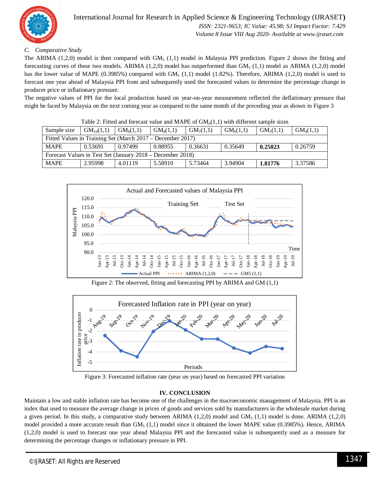

#### *C. Comparative Study*

The ARIMA (1,2,0) model is then compared with  $GM_5$  (1,1) model in Malaysia PPI prediction. Figure 2 shows the fitting and forecasting curves of these two models. ARIMA  $(1,2,0)$  model has outperformed than  $GM<sub>5</sub> (1,1)$  model as ARIMA  $(1,2,0)$  model has the lower value of MAPE (0.3985%) compared with  $GM<sub>5</sub>$  (1,1) model (1.82%). Therefore, ARIMA (1,2,0) model is used to forecast one year ahead of Malaysia PPI from and subsequently used the forecasted values to determine the percentage change in producer price or inflationary pressure.

The negative values of PPI for the local production based on year-on-year measurement reflected the deflationary pressure that might be faced by Malaysia on the next coming year as compared to the same month of the preceding year as shown in Figure 3

| Table 2. I filed and forceast value and frikt E of Givi <sub>n</sub> (1,1) with unferent sample sizes |                |                       |             |                       |                       |                       |                       |  |  |
|-------------------------------------------------------------------------------------------------------|----------------|-----------------------|-------------|-----------------------|-----------------------|-----------------------|-----------------------|--|--|
| Sample size                                                                                           | $GM_{10}(1,1)$ | GM <sub>9</sub> (1,1) | $GM_8(1,1)$ | GM <sub>7</sub> (1.1) | GM <sub>6</sub> (1,1) | GM <sub>5</sub> (1,1) | GM <sub>4</sub> (1,1) |  |  |
| Fitted Values in Training Set (March 2017 – December 2017)                                            |                |                       |             |                       |                       |                       |                       |  |  |
| <b>MAPE</b>                                                                                           | 0.53691        | 0.97499               | 0.88955     | 0.36631               | 0.35649               | 0.25023               | 0.26759               |  |  |
| Forecast Values in Test Set (January 2018 – December 2018)                                            |                |                       |             |                       |                       |                       |                       |  |  |
| <b>MAPE</b>                                                                                           | 2.95998        | 4.01119               | 5.58910     | 5.73464               | 3.94904               | 1.81776               | 3.37586               |  |  |

Table 2: Fitted and forecast value and MAPE of  $GM<sub>1</sub>(1,1)$  with different sample sizes



Figure 2: The observed, fitting and forecasting PPI by ARIMA and GM (1,1)



Figure 3: Forecasted inflation rate (year on year) based on forecasted PPI variation

#### **IV. CONCLUSION**

Maintain a low and stable inflation rate has become one of the challenges in the macroeconomic management of Malaysia. PPI is an index that used to measure the average change in prices of goods and services sold by manufacturers in the wholesale market during a given period. In this study, a comparative study between ARIMA  $(1,2,0)$  model and GM<sub>5</sub>  $(1,1)$  model is done. ARIMA  $(1,2,0)$ model provided a more accurate result than  $GM<sub>5</sub> (1,1)$  model since it obtained the lower MAPE value (0.3985%). Hence, ARIMA (1,2,0) model is used to forecast one year ahead Malaysia PPI and the forecasted value is subsequently used as a measure for determining the percentage changes or inflationary pressure in PPI.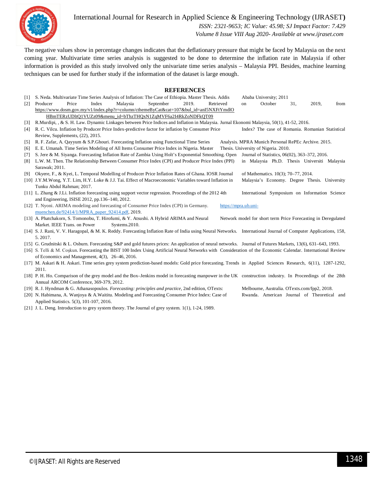

International Journal for Research in Applied Science & Engineering Technology (IJRASET**)**

 *ISSN: 2321-9653; IC Value: 45.98; SJ Impact Factor: 7.429*

 *Volume 8 Issue VIII Aug 2020- Available at www.ijraset.com*

The negative values show in percentage changes indicates that the deflationary pressure that might be faced by Malaysia on the next coming year. Multivariate time series analysis is suggested to be done to determine the inflation rate in Malaysia if other information is provided as this study involved only the univariate time series analysis – Malaysia PPI. Besides, machine learning techniques can be used for further study if the information of the dataset is large enough.

#### **REFERENCES**

| WELL ENERGED      |                                                                                                                                                                  |                                                                                                                                          |                                                               |     |       |      |  |  |  |
|-------------------|------------------------------------------------------------------------------------------------------------------------------------------------------------------|------------------------------------------------------------------------------------------------------------------------------------------|---------------------------------------------------------------|-----|-------|------|--|--|--|
| $[1]$             | S. Neda. Multivariate Time Series Analysis of Inflation: The Case of Ethiopia. Master Thesis. Addis                                                              |                                                                                                                                          | Ababa University; 2011                                        |     |       |      |  |  |  |
| $\lceil 2 \rceil$ | 2019.<br>Price<br>Index<br>Malaysia<br>September<br>Retrieved<br>Producer                                                                                        |                                                                                                                                          | October<br>on                                                 | 31. | 2019, | from |  |  |  |
|                   | https://www.dosm.gov.my/v1/index.php?r=column/cthemeByCat&cat=107&bul_id=anI5NXFtYmdlO                                                                           |                                                                                                                                          |                                                               |     |       |      |  |  |  |
|                   | HBmTERzUDltQ1VUZz09&menu_id=bThzTHQxN1ZqMVF6a2I4RkZoNDFkQT09                                                                                                     |                                                                                                                                          |                                                               |     |       |      |  |  |  |
| $[3]$             |                                                                                                                                                                  | R.Murdipi, , & S. H. Law. Dynamic Linkages between Price Indices and Inflation in Malaysia. Jurnal Ekonomi Malaysia, 50(1), 41-52, 2016. |                                                               |     |       |      |  |  |  |
| [4]               | R. C. Vilcu. Inflation by Producer Price Index-predictive factor for inflation by Consumer Price                                                                 |                                                                                                                                          | Index? The case of Romania. Romanian Statistical              |     |       |      |  |  |  |
|                   | Review, Supplements, (22), 2015.                                                                                                                                 |                                                                                                                                          |                                                               |     |       |      |  |  |  |
| $\lceil 5 \rceil$ | R. F. Zafar, A. Qayyum & S.P. Ghouri. Forecasting Inflation using Functional Time Series                                                                         | Analysis. MPRA Munich Personal RePEc Archive. 2015.                                                                                      |                                                               |     |       |      |  |  |  |
| [6]               | E. E. Umanah. Time Series Modeling of All Items Consumer Price Index in Nigeria. Master<br>Thesis. University of Nigeria. 2010.                                  |                                                                                                                                          |                                                               |     |       |      |  |  |  |
| [7]               | S. Jere & M. Siyanga. Forecasting Inflation Rate of Zambia Using Holt's Exponential Smoothing. Open Journal of Statistics, 06(02), 363-372, 2016.                |                                                                                                                                          |                                                               |     |       |      |  |  |  |
| [8]               | L.W. M. Then. The Relationship Between Consumer Price Index (CPI) and Producer Price Index (PPI)                                                                 |                                                                                                                                          | in Malaysia Ph.D. Thesis Universiti Malaysia                  |     |       |      |  |  |  |
|                   | Sarawak; 2011.                                                                                                                                                   |                                                                                                                                          |                                                               |     |       |      |  |  |  |
| [9]               | Okyere, F., & Kyei, L. Temporal Modelling of Producer Price Inflation Rates of Ghana. IOSR Journal                                                               |                                                                                                                                          | of Mathematics. 10(3); 70–77, 2014.                           |     |       |      |  |  |  |
|                   | [10] J.Y.M.Wong, Y.T. Lim, H.Y. Loke & J.J. Tai. Effect of Macroeconomic Variables toward Inflation in<br>Malaysia's Economy. Degree Thesis. University          |                                                                                                                                          |                                                               |     |       |      |  |  |  |
|                   | Tunku Abdul Rahman; 2017.                                                                                                                                        |                                                                                                                                          |                                                               |     |       |      |  |  |  |
|                   | [11] L. Zhang & J.Li. Inflation forecasting using support vector regression. Proceedings of the 2012 4th                                                         |                                                                                                                                          | International Symposium on Information Science                |     |       |      |  |  |  |
|                   | and Engineering, ISISE 2012, pp.136-140, 2012.                                                                                                                   |                                                                                                                                          |                                                               |     |       |      |  |  |  |
|                   | [12] T. Nyoni. ARIMA modeling and forecasting of Consumer Price Index (CPI) in Germany.                                                                          | https://mpra.ub.uni-                                                                                                                     |                                                               |     |       |      |  |  |  |
|                   | muenchen.de/92414/1/MPRA_paper_92414.pdf, 2019.                                                                                                                  |                                                                                                                                          |                                                               |     |       |      |  |  |  |
|                   | [13] A. Phatchakorn, S. Tomonobu, T. Hirofumi, & Y. Atsushi. A Hybrid ARIMA and Neural                                                                           |                                                                                                                                          | Network model for short term Price Forecasting in Deregulated |     |       |      |  |  |  |
|                   | Market. IEEE Trans. on Power<br>Systems.2010.                                                                                                                    |                                                                                                                                          |                                                               |     |       |      |  |  |  |
|                   | [14] S. J. Rani, V. V. Haragopal, & M. K. Reddy. Forecasting Inflation Rate of India using Neural Networks. International Journal of Computer Applications, 158, |                                                                                                                                          |                                                               |     |       |      |  |  |  |
|                   | 5.2017.                                                                                                                                                          |                                                                                                                                          |                                                               |     |       |      |  |  |  |
|                   | [15] G. Grudnitski & L. Osburn. Forecasting S&P and gold futures prices: An application of neural networks. Journal of Futures Markets, 13(6), 631–643, 1993.    |                                                                                                                                          |                                                               |     |       |      |  |  |  |
|                   | [16] S. Telli & M. Coskun. Forecasting the BIST 100 Index Using Artificial Neural Networks with Consideration of the Economic Calendar. International Review     |                                                                                                                                          |                                                               |     |       |      |  |  |  |
|                   | of Economics and Management, 4(3), 26–46, 2016.                                                                                                                  |                                                                                                                                          |                                                               |     |       |      |  |  |  |
|                   | [17] M. Askari & H. Askari. Time series grey system prediction-based models: Gold price forecasting. Trends in Applied Sciences Research, 6(11), 1287-1292,      |                                                                                                                                          |                                                               |     |       |      |  |  |  |
|                   | 2011.                                                                                                                                                            |                                                                                                                                          |                                                               |     |       |      |  |  |  |
|                   | [18] P. H. Ho. Comparison of the grey model and the Box–Jenkins model in forecasting manpower in the UK construction industry. In Proceedings of the 28th        |                                                                                                                                          |                                                               |     |       |      |  |  |  |
|                   | Annual ARCOM Conference, 369-379, 2012.                                                                                                                          |                                                                                                                                          |                                                               |     |       |      |  |  |  |

- [19] R. J. Hyndman & G. Athanasopoulos. *Forecasting: principles and practice*, 2nd edition, OTexts: Melbourne, Australia. OTexts.com/fpp2, 2018.
- [20] N. Habimana, A. Wanjoya & A.Waititu. Modeling and Forecasting Consumer Price Index: Case of Rwanda. American Journal of Theoretical and
- - Applied Statistics. 5(3), 101-107, 2016.
- [21] J. L. Deng. Introduction to grey system theory. The Journal of grey system. 1(1), 1-24, 1989.